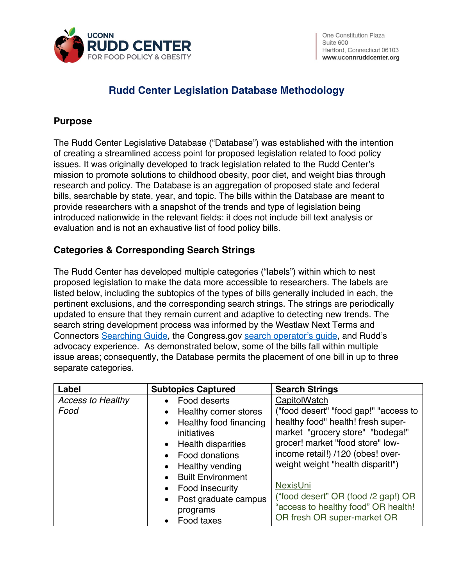

## **Rudd Center Legislation Database Methodology**

## **Purpose**

The Rudd Center Legislative Database ("Database") was established with the intention of creating a streamlined access point for proposed legislation related to food policy issues. It was originally developed to track legislation related to the Rudd Center's mission to promote solutions to childhood obesity, poor diet, and weight bias through research and policy. The Database is an aggregation of proposed state and federal bills, searchable by state, year, and topic. The bills within the Database are meant to provide researchers with a snapshot of the trends and type of legislation being introduced nationwide in the relevant fields: it does not include bill text analysis or evaluation and is not an exhaustive list of food policy bills.

## **Categories & Corresponding Search Strings**

The Rudd Center has developed multiple categories ("labels") within which to nest proposed legislation to make the data more accessible to researchers. The labels are listed below, including the subtopics of the types of bills generally included in each, the pertinent exclusions, and the corresponding search strings. The strings are periodically updated to ensure that they remain current and adaptive to detecting new trends. The search string development process was informed by the Westlaw Next Terms and Connectors [Searching Guide,](http://uconnruddcenter.org/files/Pdfs/Westlaw%20Next%20Terms%20and%20Connectors%20Searching%20Guide.pdf) the Congress.gov [search operator's](https://www.congress.gov/help/search-tools-overview) guide, and Rudd's advocacy experience. As demonstrated below, some of the bills fall within multiple issue areas; consequently, the Database permits the placement of one bill in up to three separate categories.

| Label                    | <b>Subtopics Captured</b> | <b>Search Strings</b>                 |
|--------------------------|---------------------------|---------------------------------------|
| <b>Access to Healthy</b> | Food deserts<br>$\bullet$ | CapitolWatch                          |
| Food                     | Healthy corner stores     | ("food desert" "food gap!" "access to |
|                          | Healthy food financing    | healthy food" health! fresh super-    |
|                          | initiatives               | market "grocery store" "bodega!"      |
|                          | • Health disparities      | grocer! market "food store" low-      |
|                          | Food donations            | income retail!) /120 (obes! over-     |
|                          | Healthy vending           | weight weight "health disparit!")     |
|                          | <b>Built Environment</b>  |                                       |
|                          | Food insecurity           | <b>NexisUni</b>                       |
|                          | Post graduate campus      | ("food desert" OR (food /2 gap!) OR   |
|                          | programs                  | "access to healthy food" OR health!   |
|                          | Food taxes<br>$\bullet$   | OR fresh OR super-market OR           |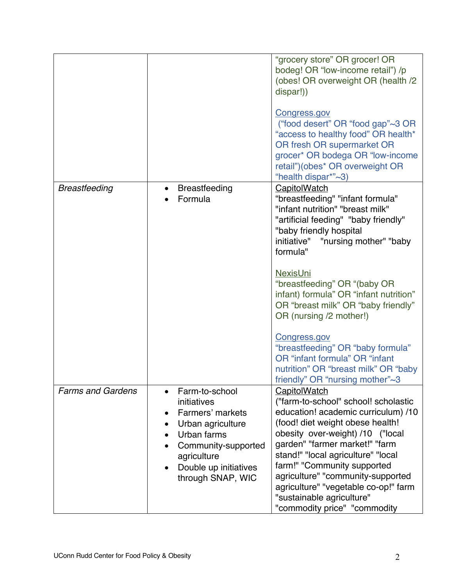|                          |                                                                                                                                                                                                                               | "grocery store" OR grocer! OR<br>bodeg! OR "low-income retail") /p<br>(obes! OR overweight OR (health /2)<br>dispar!))<br><b>Congress.gov</b><br>("food desert" OR "food gap"~3 OR<br>"access to healthy food" OR health*<br>OR fresh OR supermarket OR<br>grocer* OR bodega OR "low-income<br>retail")(obes* OR overweight OR<br>"health dispar*"~3)                                                                                                                                                                                      |
|--------------------------|-------------------------------------------------------------------------------------------------------------------------------------------------------------------------------------------------------------------------------|--------------------------------------------------------------------------------------------------------------------------------------------------------------------------------------------------------------------------------------------------------------------------------------------------------------------------------------------------------------------------------------------------------------------------------------------------------------------------------------------------------------------------------------------|
| <b>Breastfeeding</b>     | <b>Breastfeeding</b><br>$\bullet$<br>Formula                                                                                                                                                                                  | CapitolWatch<br>"breastfeeding" "infant formula"<br>"infant nutrition" "breast milk"<br>"artificial feeding" "baby friendly"<br>"baby friendly hospital<br>initiative" "nursing mother" "baby<br>formula"<br><b>NexisUni</b><br>"breastfeeding" OR "(baby OR<br>infant) formula" OR "infant nutrition"<br>OR "breast milk" OR "baby friendly"<br>OR (nursing /2 mother!)<br>Congress.gov<br>"breastfeeding" OR "baby formula"<br>OR "infant formula" OR "infant<br>nutrition" OR "breast milk" OR "baby<br>friendly" OR "nursing mother"~3 |
| <b>Farms and Gardens</b> | Farm-to-school<br>initiatives<br>Farmers' markets<br>$\bullet$<br>Urban agriculture<br>$\bullet$<br>Urban farms<br>Community-supported<br>$\bullet$<br>agriculture<br>Double up initiatives<br>$\bullet$<br>through SNAP, WIC | <b>CapitolWatch</b><br>("farm-to-school" school! scholastic<br>education! academic curriculum) /10<br>(food! diet weight obese health!<br>obesity over-weight) /10 ("local<br>garden" "farmer market!" "farm<br>stand!" "local agriculture" "local<br>farm!" "Community supported<br>agriculture" "community-supported<br>agriculture" "vegetable co-op!" farm<br>"sustainable agriculture"<br>"commodity price" "commodity                                                                                                                |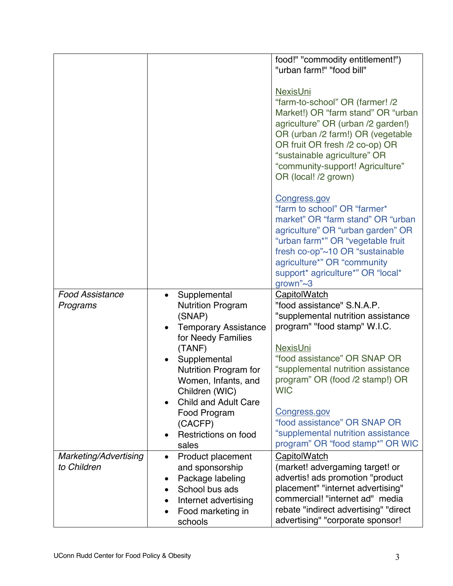|                        |           |                              | food!" "commodity entitlement!")                                                                                                                                                                                                                                                                  |
|------------------------|-----------|------------------------------|---------------------------------------------------------------------------------------------------------------------------------------------------------------------------------------------------------------------------------------------------------------------------------------------------|
|                        |           |                              | "urban farm!" "food bill"                                                                                                                                                                                                                                                                         |
|                        |           |                              | <b>NexisUni</b><br>"farm-to-school" OR (farmer! /2<br>Market!) OR "farm stand" OR "urban<br>agriculture" OR (urban /2 garden!)<br>OR (urban /2 farm!) OR (vegetable<br>OR fruit OR fresh /2 co-op) OR<br>"sustainable agriculture" OR<br>"community-support! Agriculture"<br>OR (local! /2 grown) |
|                        |           |                              | Congress.gov<br>"farm to school" OR "farmer*<br>market" OR "farm stand" OR "urban<br>agriculture" OR "urban garden" OR<br>"urban farm*" OR "vegetable fruit<br>fresh co-op"~10 OR "sustainable<br>agriculture*" OR "community<br>support* agriculture*" OR "local*<br>grown" $\sim$ 3             |
| <b>Food Assistance</b> |           | Supplemental                 | <b>CapitolWatch</b>                                                                                                                                                                                                                                                                               |
| Programs               |           | <b>Nutrition Program</b>     | "food assistance" S.N.A.P.                                                                                                                                                                                                                                                                        |
|                        |           | (SNAP)                       | "supplemental nutrition assistance                                                                                                                                                                                                                                                                |
|                        |           | <b>Temporary Assistance</b>  | program" "food stamp" W.I.C.                                                                                                                                                                                                                                                                      |
|                        |           |                              |                                                                                                                                                                                                                                                                                                   |
|                        |           |                              |                                                                                                                                                                                                                                                                                                   |
|                        |           | for Needy Families           |                                                                                                                                                                                                                                                                                                   |
|                        |           | (TANF)                       | <b>NexisUni</b>                                                                                                                                                                                                                                                                                   |
|                        | $\bullet$ | Supplemental                 | "food assistance" OR SNAP OR                                                                                                                                                                                                                                                                      |
|                        |           | Nutrition Program for        | "supplemental nutrition assistance                                                                                                                                                                                                                                                                |
|                        |           | Women, Infants, and          | program" OR (food /2 stamp!) OR                                                                                                                                                                                                                                                                   |
|                        |           | Children (WIC)               | <b>WIC</b>                                                                                                                                                                                                                                                                                        |
|                        |           | <b>Child and Adult Care</b>  |                                                                                                                                                                                                                                                                                                   |
|                        |           | Food Program                 | <b>Congress.gov</b>                                                                                                                                                                                                                                                                               |
|                        |           | (CACFP)                      | "food assistance" OR SNAP OR                                                                                                                                                                                                                                                                      |
|                        |           | Restrictions on food         | "supplemental nutrition assistance                                                                                                                                                                                                                                                                |
|                        |           | sales                        | program" OR "food stamp*" OR WIC                                                                                                                                                                                                                                                                  |
| Marketing/Advertising  | $\bullet$ | Product placement            | <b>CapitolWatch</b>                                                                                                                                                                                                                                                                               |
| to Children            |           | and sponsorship              | (market! advergaming target! or                                                                                                                                                                                                                                                                   |
|                        | $\bullet$ | Package labeling             | advertis! ads promotion "product                                                                                                                                                                                                                                                                  |
|                        |           | School bus ads               | placement" "internet advertising"                                                                                                                                                                                                                                                                 |
|                        |           | Internet advertising         | commercial! "internet ad" media                                                                                                                                                                                                                                                                   |
|                        |           | Food marketing in<br>schools | rebate "indirect advertising" "direct<br>advertising" "corporate sponsor!                                                                                                                                                                                                                         |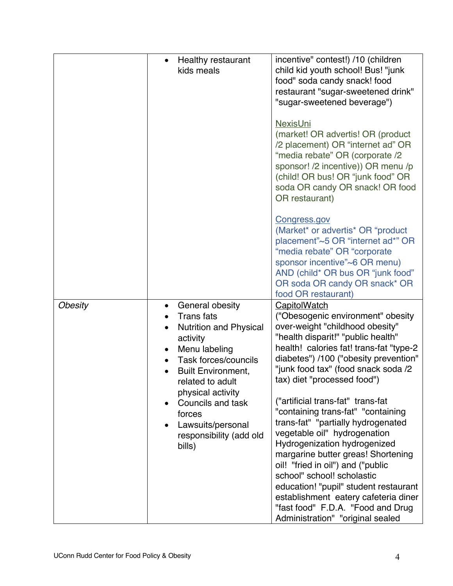|         | <b>Healthy restaurant</b><br>$\bullet$<br>kids meals                                                                                                                                                                                                                                      | incentive" contest!) /10 (children<br>child kid youth school! Bus! "junk<br>food" soda candy snack! food<br>restaurant "sugar-sweetened drink"<br>"sugar-sweetened beverage")<br><b>NexisUni</b><br>(market! OR advertis! OR (product<br>/2 placement) OR "internet ad" OR<br>"media rebate" OR (corporate /2<br>sponsor! /2 incentive)) OR menu /p<br>(child! OR bus! OR "junk food" OR<br>soda OR candy OR snack! OR food<br>OR restaurant)                                                                                                                                                                                                                                                               |
|---------|-------------------------------------------------------------------------------------------------------------------------------------------------------------------------------------------------------------------------------------------------------------------------------------------|-------------------------------------------------------------------------------------------------------------------------------------------------------------------------------------------------------------------------------------------------------------------------------------------------------------------------------------------------------------------------------------------------------------------------------------------------------------------------------------------------------------------------------------------------------------------------------------------------------------------------------------------------------------------------------------------------------------|
|         |                                                                                                                                                                                                                                                                                           | Congress.gov<br>(Market* or advertis* OR "product<br>placement"~5 OR "internet ad*" OR<br>"media rebate" OR "corporate<br>sponsor incentive"~6 OR menu)<br>AND (child* OR bus OR "junk food"<br>OR soda OR candy OR snack* OR<br>food OR restaurant)                                                                                                                                                                                                                                                                                                                                                                                                                                                        |
| Obesity | General obesity<br><b>Trans</b> fats<br><b>Nutrition and Physical</b><br>activity<br>Menu labeling<br>Task forces/councils<br><b>Built Environment,</b><br>related to adult<br>physical activity<br>Councils and task<br>forces<br>Lawsuits/personal<br>responsibility (add old<br>bills) | <b>CapitolWatch</b><br>("Obesogenic environment" obesity<br>over-weight "childhood obesity"<br>"health disparit!" "public health"<br>health! calories fat! trans-fat "type-2<br>diabetes") /100 ("obesity prevention"<br>"junk food tax" (food snack soda /2<br>tax) diet "processed food")<br>("artificial trans-fat" trans-fat<br>"containing trans-fat" "containing<br>trans-fat" "partially hydrogenated<br>vegetable oil" hydrogenation<br>Hydrogenization hydrogenized<br>margarine butter greas! Shortening<br>oil! "fried in oil") and ("public<br>school" school! scholastic<br>education! "pupil" student restaurant<br>establishment eatery cafeteria diner<br>"fast food" F.D.A. "Food and Drug |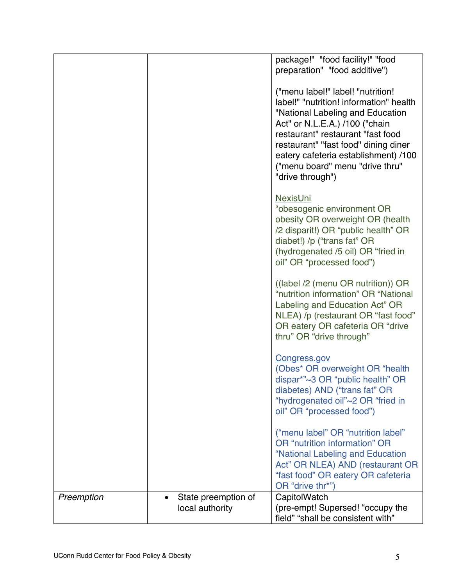|            |                     | package!" "food facility!" "food                                                                                                                                                                                                                                                                                               |
|------------|---------------------|--------------------------------------------------------------------------------------------------------------------------------------------------------------------------------------------------------------------------------------------------------------------------------------------------------------------------------|
|            |                     | preparation" "food additive")                                                                                                                                                                                                                                                                                                  |
|            |                     | ("menu label!" label! "nutrition!<br>label!" "nutrition! information" health<br>"National Labeling and Education<br>Act" or N.L.E.A.) /100 ("chain<br>restaurant" restaurant "fast food<br>restaurant" "fast food" dining diner<br>eatery cafeteria establishment) /100<br>("menu board" menu "drive thru"<br>"drive through") |
|            |                     | <b>NexisUni</b><br>"obesogenic environment OR<br>obesity OR overweight OR (health<br>/2 disparit!) OR "public health" OR<br>diabet!) /p ("trans fat" OR<br>(hydrogenated /5 oil) OR "fried in<br>oil" OR "processed food")                                                                                                     |
|            |                     | ((label /2 (menu OR nutrition)) OR<br>"nutrition information" OR "National<br>Labeling and Education Act" OR<br>NLEA) /p (restaurant OR "fast food"<br>OR eatery OR cafeteria OR "drive<br>thru" OR "drive through"                                                                                                            |
|            |                     | <b>Congress.gov</b><br>(Obes* OR overweight OR "health<br>dispar*"~3 OR "public health" OR<br>diabetes) AND ("trans fat" OR<br>"hydrogenated oil"~2 OR "fried in<br>oil" OR "processed food")                                                                                                                                  |
|            |                     | ("menu label" OR "nutrition label"<br>OR "nutrition information" OR<br>"National Labeling and Education<br>Act" OR NLEA) AND (restaurant OR<br>"fast food" OR eatery OR cafeteria<br>OR "drive thr*")                                                                                                                          |
| Preemption | State preemption of | <b>CapitolWatch</b>                                                                                                                                                                                                                                                                                                            |
|            | local authority     | (pre-empt! Supersed! "occupy the                                                                                                                                                                                                                                                                                               |
|            |                     | field" "shall be consistent with"                                                                                                                                                                                                                                                                                              |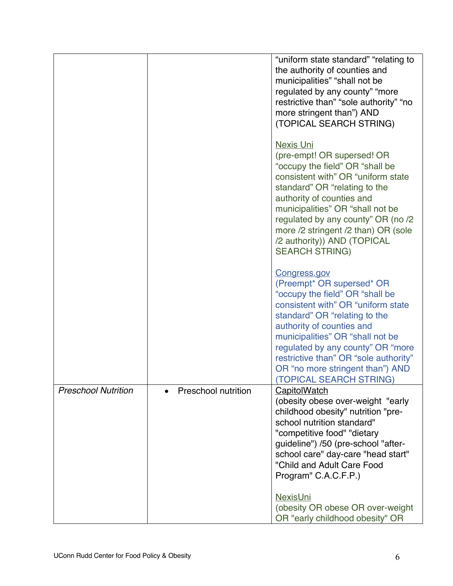|                            |                            | "uniform state standard" "relating to<br>the authority of counties and<br>municipalities" "shall not be<br>regulated by any county" "more<br>restrictive than" "sole authority" "no<br>more stringent than") AND<br>(TOPICAL SEARCH STRING)                                                                                                                              |
|----------------------------|----------------------------|--------------------------------------------------------------------------------------------------------------------------------------------------------------------------------------------------------------------------------------------------------------------------------------------------------------------------------------------------------------------------|
|                            |                            | <b>Nexis Uni</b><br>(pre-empt! OR supersed! OR<br>"occupy the field" OR "shall be<br>consistent with" OR "uniform state<br>standard" OR "relating to the<br>authority of counties and<br>municipalities" OR "shall not be<br>regulated by any county" OR (no /2<br>more /2 stringent /2 than) OR (sole<br>/2 authority)) AND (TOPICAL<br><b>SEARCH STRING)</b>           |
|                            |                            | <b>Congress.gov</b><br>(Preempt* OR supersed* OR<br>"occupy the field" OR "shall be<br>consistent with" OR "uniform state<br>standard" OR "relating to the<br>authority of counties and<br>municipalities" OR "shall not be<br>regulated by any county" OR "more<br>restrictive than" OR "sole authority"<br>OR "no more stringent than") AND<br>(TOPICAL SEARCH STRING) |
| <b>Preschool Nutrition</b> | <b>Preschool nutrition</b> | <b>CapitolWatch</b><br>(obesity obese over-weight "early<br>childhood obesity" nutrition "pre-<br>school nutrition standard"<br>"competitive food" "dietary<br>guideline") /50 (pre-school "after-<br>school care" day-care "head start"<br>"Child and Adult Care Food<br>Program" C.A.C.F.P.)                                                                           |
|                            |                            | <b>NexisUni</b><br>(obesity OR obese OR over-weight<br>OR "early childhood obesity" OR                                                                                                                                                                                                                                                                                   |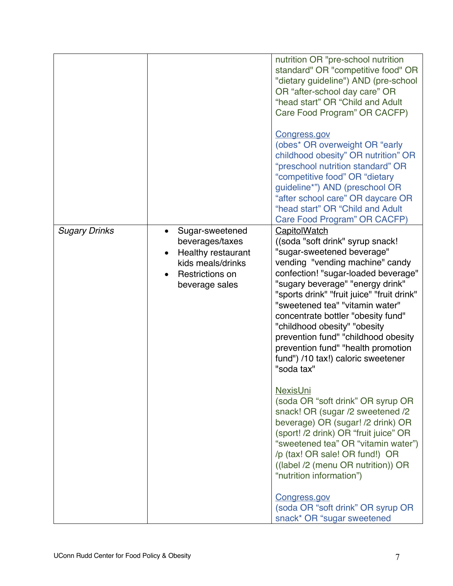|                      |                                                                                                                           | nutrition OR "pre-school nutrition<br>standard" OR "competitive food" OR<br>"dietary guideline") AND (pre-school<br>OR "after-school day care" OR<br>"head start" OR "Child and Adult<br>Care Food Program" OR CACFP)                                                                                                                                                                                                                                                                                                                                                                                                        |
|----------------------|---------------------------------------------------------------------------------------------------------------------------|------------------------------------------------------------------------------------------------------------------------------------------------------------------------------------------------------------------------------------------------------------------------------------------------------------------------------------------------------------------------------------------------------------------------------------------------------------------------------------------------------------------------------------------------------------------------------------------------------------------------------|
|                      |                                                                                                                           | <b>Congress.gov</b><br>(obes* OR overweight OR "early<br>childhood obesity" OR nutrition" OR<br>"preschool nutrition standard" OR<br>"competitive food" OR "dietary<br>guideline*") AND (preschool OR<br>"after school care" OR daycare OR<br>"head start" OR "Child and Adult<br>Care Food Program" OR CACFP)                                                                                                                                                                                                                                                                                                               |
| <b>Sugary Drinks</b> | Sugar-sweetened<br>beverages/taxes<br><b>Healthy restaurant</b><br>kids meals/drinks<br>Restrictions on<br>beverage sales | <b>CapitolWatch</b><br>((soda "soft drink" syrup snack!<br>"sugar-sweetened beverage"<br>vending "vending machine" candy<br>confection! "sugar-loaded beverage"<br>"sugary beverage" "energy drink"<br>"sports drink" "fruit juice" "fruit drink"<br>"sweetened tea" "vitamin water"<br>concentrate bottler "obesity fund"<br>"childhood obesity" "obesity<br>prevention fund" "childhood obesity<br>prevention fund" "health promotion<br>fund") /10 tax!) caloric sweetener<br>"soda tax"<br><b>NexisUni</b><br>(soda OR "soft drink" OR syrup OR<br>snack! OR (sugar /2 sweetened /2<br>beverage) OR (sugar! /2 drink) OR |
|                      |                                                                                                                           | (sport! /2 drink) OR "fruit juice" OR<br>"sweetened tea" OR "vitamin water")<br>/p (tax! OR sale! OR fund!) OR<br>((label /2 (menu OR nutrition)) OR<br>"nutrition information")<br>Congress.gov<br>(soda OR "soft drink" OR syrup OR<br>snack* OR "sugar sweetened                                                                                                                                                                                                                                                                                                                                                          |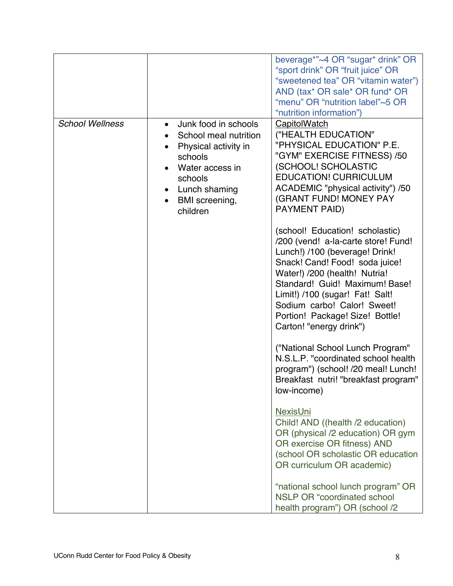|                        |                                                                                                                                                                                         | beverage*"~4 OR "sugar* drink" OR<br>"sport drink" OR "fruit juice" OR<br>"sweetened tea" OR "vitamin water")<br>AND (tax* OR sale* OR fund* OR<br>"menu" OR "nutrition label"~5 OR<br>"nutrition information")                                                                                                                               |
|------------------------|-----------------------------------------------------------------------------------------------------------------------------------------------------------------------------------------|-----------------------------------------------------------------------------------------------------------------------------------------------------------------------------------------------------------------------------------------------------------------------------------------------------------------------------------------------|
| <b>School Wellness</b> | Junk food in schools<br>$\bullet$<br>School meal nutrition<br>Physical activity in<br>schools<br>Water access in<br>schools<br>Lunch shaming<br>BMI screening,<br>$\bullet$<br>children | CapitolWatch<br>("HEALTH EDUCATION"<br>"PHYSICAL EDUCATION" P.E.<br>"GYM" EXERCISE FITNESS) /50<br>(SCHOOL! SCHOLASTIC<br><b>EDUCATION! CURRICULUM</b><br>ACADEMIC "physical activity") /50<br>(GRANT FUND! MONEY PAY<br><b>PAYMENT PAID)</b>                                                                                                 |
|                        |                                                                                                                                                                                         | (school! Education! scholastic)<br>/200 (vend! a-la-carte store! Fund!<br>Lunch!) /100 (beverage! Drink!<br>Snack! Cand! Food! soda juice!<br>Water!) /200 (health! Nutria!<br>Standard! Guid! Maximum! Base!<br>Limit!) /100 (sugar! Fat! Salt!<br>Sodium carbo! Calor! Sweet!<br>Portion! Package! Size! Bottle!<br>Carton! "energy drink") |
|                        |                                                                                                                                                                                         | ("National School Lunch Program"<br>N.S.L.P. "coordinated school health<br>program") (school! /20 meal! Lunch!<br>Breakfast nutri! "breakfast program"<br>low-income)                                                                                                                                                                         |
|                        |                                                                                                                                                                                         | <b>NexisUni</b><br>Child! AND ((health /2 education)<br>OR (physical /2 education) OR gym<br>OR exercise OR fitness) AND<br>(school OR scholastic OR education<br>OR curriculum OR academic)                                                                                                                                                  |
|                        |                                                                                                                                                                                         | "national school lunch program" OR<br><b>NSLP OR "coordinated school</b><br>health program") OR (school /2                                                                                                                                                                                                                                    |